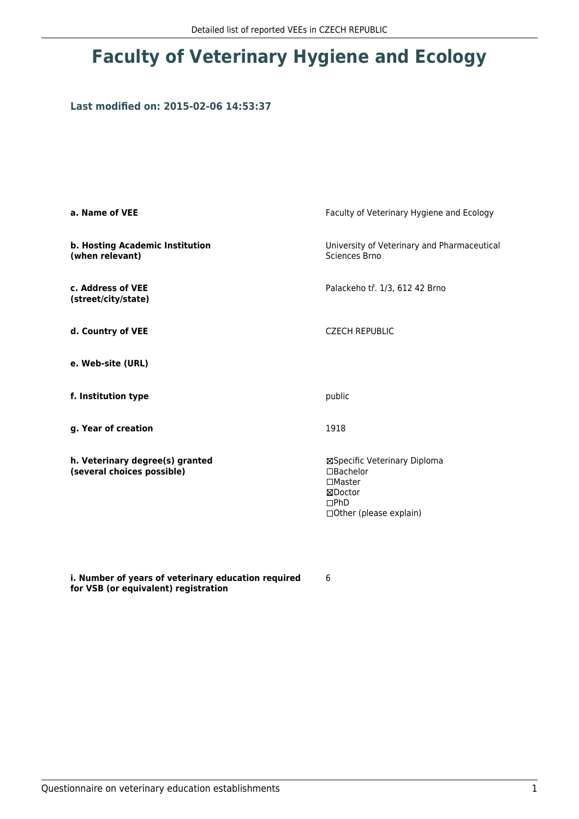## **Faculty of Veterinary Hygiene and Ecology**

## **Last modified on: 2015-02-06 14:53:37**

| a. Name of VEE                                                | Faculty of Veterinary Hygiene and Ecology                                                                          |
|---------------------------------------------------------------|--------------------------------------------------------------------------------------------------------------------|
| b. Hosting Academic Institution<br>(when relevant)            | University of Veterinary and Pharmaceutical<br>Sciences Brno                                                       |
| c. Address of VEE<br>(street/city/state)                      | Palackeho tř. 1/3, 612 42 Brno                                                                                     |
| d. Country of VEE                                             | <b>CZECH REPUBLIC</b>                                                                                              |
| e. Web-site (URL)                                             |                                                                                                                    |
| f. Institution type                                           | public                                                                                                             |
| g. Year of creation                                           | 1918                                                                                                               |
| h. Veterinary degree(s) granted<br>(several choices possible) | ⊠Specific Veterinary Diploma<br>$\Box$ Bachelor<br>$\square$ Master<br>⊠Doctor<br>DPhD<br>□ Other (please explain) |

**i. Number of years of veterinary education required for VSB (or equivalent) registration**

6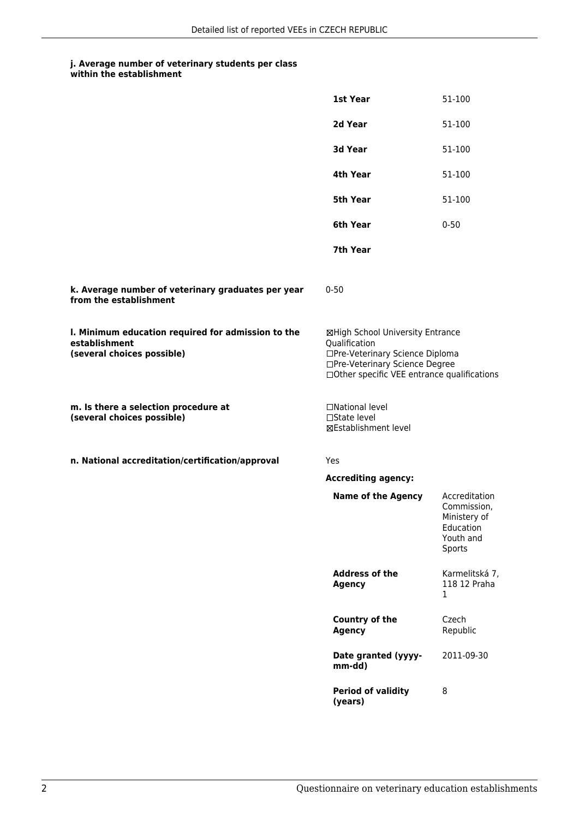## **j. Average number of veterinary students per class**

|  | within the establishment |  |  |  |  |
|--|--------------------------|--|--|--|--|
|--|--------------------------|--|--|--|--|

|                                                                                                   | 1st Year                                                                                                                                                              | 51-100                                                                           |  |
|---------------------------------------------------------------------------------------------------|-----------------------------------------------------------------------------------------------------------------------------------------------------------------------|----------------------------------------------------------------------------------|--|
|                                                                                                   | 2d Year                                                                                                                                                               | 51-100                                                                           |  |
|                                                                                                   | 3d Year                                                                                                                                                               | 51-100                                                                           |  |
|                                                                                                   | 4th Year                                                                                                                                                              | 51-100                                                                           |  |
|                                                                                                   | 5th Year                                                                                                                                                              | 51-100                                                                           |  |
|                                                                                                   | 6th Year                                                                                                                                                              | $0 - 50$                                                                         |  |
|                                                                                                   | 7th Year                                                                                                                                                              |                                                                                  |  |
| k. Average number of veterinary graduates per year<br>from the establishment                      | $0 - 50$                                                                                                                                                              |                                                                                  |  |
| I. Minimum education required for admission to the<br>establishment<br>(several choices possible) | ⊠High School University Entrance<br>Qualification<br>□Pre-Veterinary Science Diploma<br>□Pre-Veterinary Science Degree<br>□Other specific VEE entrance qualifications |                                                                                  |  |
| m. Is there a selection procedure at<br>(several choices possible)                                | □National level<br>$\square$ State level<br><b>⊠Establishment level</b>                                                                                               |                                                                                  |  |
| n. National accreditation/certification/approval                                                  | Yes                                                                                                                                                                   |                                                                                  |  |
|                                                                                                   | <b>Accrediting agency:</b>                                                                                                                                            |                                                                                  |  |
|                                                                                                   | <b>Name of the Agency</b>                                                                                                                                             | Accreditation<br>Commission,<br>Ministery of<br>Education<br>Youth and<br>Sports |  |
|                                                                                                   | <b>Address of the</b><br><b>Agency</b>                                                                                                                                | Karmelitská 7,<br>118 12 Praha<br>1                                              |  |
|                                                                                                   | <b>Country of the</b><br><b>Agency</b>                                                                                                                                | Czech<br>Republic                                                                |  |
|                                                                                                   | Date granted (yyyy-<br>mm-dd)                                                                                                                                         | 2011-09-30                                                                       |  |
|                                                                                                   | <b>Period of validity</b><br>(years)                                                                                                                                  | 8                                                                                |  |